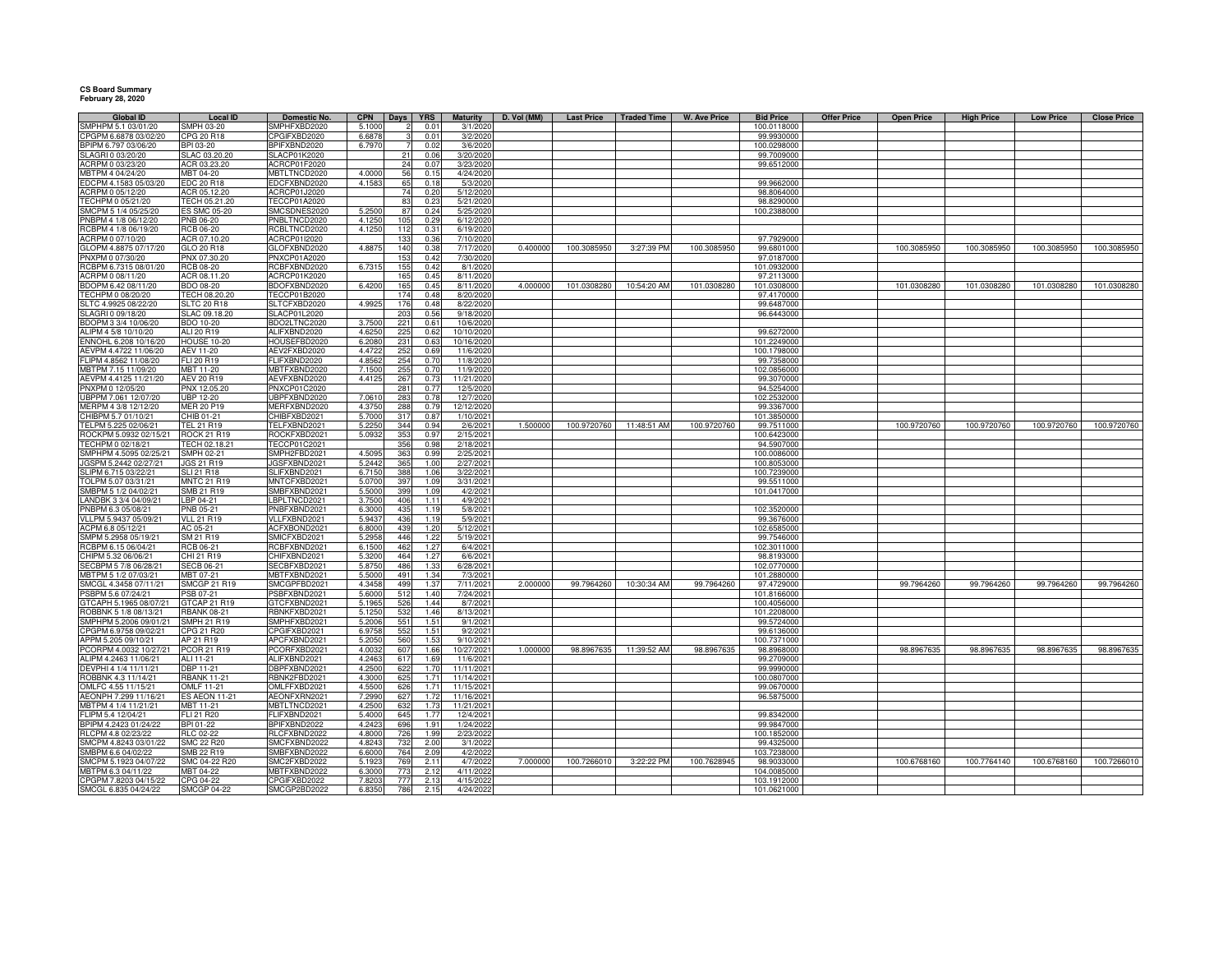## **CS Board Summary February 28, 2020**

| <b>Global ID</b>                              | <b>Local ID</b>                 | Domestic No.                 | <b>CPN</b>     | <b>Days</b>     | <b>YRS</b>    | Maturity                | D. Vol (MM) | <b>Last Price</b> | <b>Traded Time</b>      | W. Ave Price | <b>Bid Price</b>          | <b>Offer Price</b> | <b>Open Price</b> | <b>High Price</b> | <b>Low Price</b> | <b>Close Price</b> |
|-----------------------------------------------|---------------------------------|------------------------------|----------------|-----------------|---------------|-------------------------|-------------|-------------------|-------------------------|--------------|---------------------------|--------------------|-------------------|-------------------|------------------|--------------------|
| SMPHPM 5.1 03/01/20                           | <b>SMPH 03-20</b>               | SMPHFXBD2020                 | 5.1000         |                 | 0.01          | 3/1/2020                |             |                   |                         |              | 100.0118000               |                    |                   |                   |                  |                    |
| CPGPM 6.6878 03/02/20                         | CPG 20 R18                      | CPGIFXBD2020<br>BPIFXBND2020 | 6.687          |                 | 0.01          | 3/2/2020                |             |                   |                         |              | 99.9930000                |                    |                   |                   |                  |                    |
| BPIPM 6.797 03/06/20                          | BPI 03-20                       |                              | 6.7970         |                 | 0.02          | 3/6/2020<br>3/20/2020   |             |                   |                         |              | 100.0298000               |                    |                   |                   |                  |                    |
| SLAGRI 0 03/20/20<br>ACRPM 0 03/23/20         | SLAC 03.20.20<br>ACR 03.23.20   | SLACP01K2020<br>ACRCP01F2020 |                | 21<br>24        | 0.06<br>0.07  | 3/23/2020               |             |                   |                         |              | 99.7009000<br>99.6512000  |                    |                   |                   |                  |                    |
| MBTPM 4 04/24/20                              | MBT 04-20                       | <b>MBTLTNCD2020</b>          | 4.0000         | 56              | 0.1!          | 4/24/2020               |             |                   |                         |              |                           |                    |                   |                   |                  |                    |
| EDCPM 4.1583 05/03/20                         | EDC 20 R18                      | EDCFXBND2020                 | 4.1583         | 65              | 0.18          | 5/3/2020                |             |                   |                         |              | 99.9662000                |                    |                   |                   |                  |                    |
| ACRPM 0 05/12/20                              | ACR 05.12.20                    | ACRCP01J2020                 |                | 74              | 0.20          | 5/12/2020               |             |                   |                         |              | 98.8064000                |                    |                   |                   |                  |                    |
| TECHPM 0 05/21/20                             | TECH 05.21.20                   | TECCP01A2020                 |                | 83              | 0.23          | 5/21/2020               |             |                   |                         |              | 98.8290000                |                    |                   |                   |                  |                    |
| SMCPM 5 1/4 05/25/20                          | <b>ES SMC 05-20</b>             | SMCSDNES2020                 | 5.250          | 87              | 0.24          | 5/25/2020               |             |                   |                         |              | 100.2388000               |                    |                   |                   |                  |                    |
| PNBPM 4 1/8 06/12/20                          | <b>PNB 06-20</b>                | PNBLTNCD2020                 | 4.1250         | 105             | 0.29          | 6/12/2020               |             |                   |                         |              |                           |                    |                   |                   |                  |                    |
| RCBPM 4 1/8 06/19/20                          | <b>RCB 06-20</b>                | RCBLTNCD2020                 | 4.1250         | 112             | 0.31          | 6/19/2020               |             |                   |                         |              |                           |                    |                   |                   |                  |                    |
| ACRPM 0 07/10/20                              | ACR 07.10.20                    | ACRCP01I2020                 |                | 133             | 0.36          | 7/10/2020               |             |                   |                         |              | 97.7929000                |                    |                   |                   |                  |                    |
| GLOPM 4.8875 07/17/20                         | GLO 20 R18                      | GLOFXBND2020                 | 4.887          | 140             | 0.38          | 7/17/2020               | 0.400000    | 100.3085950       | 3:27:39 PM              | 100.3085950  | 99.6801000                |                    | 100.3085950       | 100.3085950       | 100.3085950      | 100.3085950        |
| PNXPM 0 07/30/20                              | PNX 07.30.20                    | PNXCP01A2020                 |                | 15 <sup>°</sup> | 0.42          | 7/30/2020               |             |                   |                         |              | 97.0187000                |                    |                   |                   |                  |                    |
| RCBPM 6.7315 08/01/20                         | <b>RCB 08-20</b>                | RCBFXBND2020                 | 6.731          | 155             | 0.42          | 8/1/2020                |             |                   |                         |              | 101.0932000               |                    |                   |                   |                  |                    |
| ACRPM 0 08/11/20                              | ACR 08.11.20                    | ACRCP01K2020                 |                | 165             | 0.45          | 8/11/2020               |             |                   |                         |              | 97.2113000                |                    |                   |                   |                  |                    |
| BDOPM 6.42 08/11/20                           | <b>BDO 08-20</b>                | BDOFXBND2020                 | 6.420          | 165             | 0.45          | 8/11/2020               | 4.00000     | 101.0308280       | 10:54:20 AM             | 101.0308280  | 101.0308000               |                    | 101.0308280       | 101.0308280       | 101.0308280      | 101.0308280        |
| TECHPM 0 08/20/20                             | TECH 08.20.20                   | TECCP01B2020                 |                | 174             | 0.48          | 8/20/2020               |             |                   |                         |              | 97.4170000                |                    |                   |                   |                  |                    |
| SLTC 4.9925 08/22/20                          | <b>SLTC 20 R18</b>              | SLTCFXBD2020                 | 4.992          | 176             | 0.48          | 8/22/2020               |             |                   |                         |              | 99.6487000                |                    |                   |                   |                  |                    |
| SLAGRI 0 09/18/20                             | SLAC 09.18.20                   | SLACP01L2020                 |                | 203             | 0.56          | 9/18/2020               |             |                   |                         |              | 96.6443000                |                    |                   |                   |                  |                    |
| BDOPM 3 3/4 10/06/20                          | <b>BDO 10-20</b>                | BDO2LTNC2020                 | 3.750          | 221             | 0.61          | 10/6/2020               |             |                   |                         |              |                           |                    |                   |                   |                  |                    |
| ALIPM 4 5/8 10/10/20                          | ALI 20 R19                      | ALIFXBND2020                 | 4.625          | 225             | 0.62          | 10/10/2020              |             |                   |                         |              | 99.6272000                |                    |                   |                   |                  |                    |
| ENNOHL 6.208 10/16/20                         | <b>HOUSE 10-20</b>              | HOUSEFBD2020                 | 6.208          | 231             | 0.63          | 10/16/202               |             |                   |                         |              | 101.2249000               |                    |                   |                   |                  |                    |
| AEVPM 4.4722 11/06/20                         | <b>AEV 11-20</b>                | AEV2FXBD2020                 | 4.472          | 252             | 0.69          | 11/6/2020               |             |                   |                         |              | 100.1798000               |                    |                   |                   |                  |                    |
| FLIPM 4.8562 11/08/20                         | FLI 20 R19                      | <b>ELIFXBND2020</b>          | 4.856          | 254             | 0.7(          | 11/8/2020               |             |                   |                         |              | 99.7358000                |                    |                   |                   |                  |                    |
| MBTPM 7.15 11/09/20                           | MBT 11-20                       | <b>MBTFXBND2020</b>          | 7.150          | 255             | 0.70          | 11/9/2020               |             |                   |                         |              | 102.0856000               |                    |                   |                   |                  |                    |
| AEVPM 4.4125 11/21/20                         | AEV 20 R19                      | AEVFXBND2020                 | 4.412          | 267             | 0.7           | 11/21/2020              |             |                   |                         |              | 99.3070000                |                    |                   |                   |                  |                    |
| PNXPM 0 12/05/20                              | PNX 12.05.20                    | PNXCP01C2020                 |                | 281             | 0.7           | 12/5/2020               |             |                   |                         |              | 94.5254000                |                    |                   |                   |                  |                    |
| UBPPM 7.061 12/07/20                          | <b>UBP 12-20</b>                | JBPFXBND2020                 | 7.061          | 283             | 0.71          | 12/7/2020               |             |                   |                         |              | 102.2532000               |                    |                   |                   |                  |                    |
| MERPM 4 3/8 12/12/20                          | <b>MER 20 P19</b>               | MERFXBND2020<br>CHIBFXBD2021 | 4.3750         | 288<br>317      | 0.79<br>0.8   | 12/12/2020              |             |                   |                         |              | 99.3367000                |                    |                   |                   |                  |                    |
| CHIBPM 5.7 01/10/21<br>TELPM 5.225 02/06/21   | CHIB 01-21<br><b>TEL 21 R19</b> | TELFXBND2021                 | 5.700<br>5.225 | 344             | 0.94          | 1/10/2021<br>2/6/2021   | 1.500000    |                   | 100.9720760 11:48:51 AM | 100.9720760  | 101.3850000<br>99.7511000 |                    | 100.9720760       | 100.9720760       | 100.9720760      | 100.9720760        |
| ROCKPM 5.0932 02/15/21                        | <b>ROCK 21 R19</b>              | ROCKFXBD2021                 | 5.093          | 353             | $0.9^{\circ}$ | 2/15/2021               |             |                   |                         |              | 100.6423000               |                    |                   |                   |                  |                    |
| TECHPM 0 02/18/21                             | TECH 02.18.2                    | TECCP01C2021                 |                | 356             | 0.91          | 2/18/2021               |             |                   |                         |              | 94.5907000                |                    |                   |                   |                  |                    |
| SMPHPM 4.5095 02/25/21                        | <b>SMPH 02-21</b>               | SMPH2FBD2021                 | 4.509          | 363             | 0.99          | 2/25/2021               |             |                   |                         |              | 100.0086000               |                    |                   |                   |                  |                    |
| JGSPM 5.2442 02/27/21                         | <b>JGS 21 R19</b>               | JGSFXBND2021                 | 5.244          | 365             | 1.00          | 2/27/2021               |             |                   |                         |              | 100.8053000               |                    |                   |                   |                  |                    |
| SLIPM 6.715 03/22/21                          | <b>SLI 21 R18</b>               | SLIFXBND2021                 | 6.715          | 388             | 1.06          | 3/22/2021               |             |                   |                         |              | 100.7239000               |                    |                   |                   |                  |                    |
| TOLPM 5.07 03/31/21                           | <b>MNTC 21 R19</b>              | MNTCFXBD2021                 | 5.070          | 397             | 1.09          | 3/31/2021               |             |                   |                         |              | 99.5511000                |                    |                   |                   |                  |                    |
| SMBPM 5 1/2 04/02/21                          | SMB 21 R19                      | SMBFXBND2021                 | 5.500          | 399             | 1.09          | 4/2/2021                |             |                   |                         |              | 101.0417000               |                    |                   |                   |                  |                    |
| LANDBK 3 3/4 04/09/21                         | LBP 04-21                       | LBPLTNCD2021                 | 3.7500         | 406             | 1.11          | 4/9/2021                |             |                   |                         |              |                           |                    |                   |                   |                  |                    |
| PNBPM 6.3 05/08/21                            | <b>PNB 05-21</b>                | PNBFXBND2021                 | 6.300          | 435             | 1.19          | 5/8/2021                |             |                   |                         |              | 102.3520000               |                    |                   |                   |                  |                    |
| VLLPM 5.9437 05/09/21                         | <b>VLL 21 R19</b>               | VLLFXBND2021                 | 5.943          | 436             | 1.19          | 5/9/2021                |             |                   |                         |              | 99.3676000                |                    |                   |                   |                  |                    |
| ACPM 6.8 05/12/21                             | AC 05-21                        | ACFXBOND2021                 | 6.800          | 439             | 1.20          | 5/12/2021               |             |                   |                         |              | 102.6585000               |                    |                   |                   |                  |                    |
| SMPM 5.2958 05/19/21                          | SM 21 R19                       | SMICFXBD2021                 | 5.295          | 446             | 1.22          | 5/19/2021               |             |                   |                         |              | 99.7546000                |                    |                   |                   |                  |                    |
| RCBPM 6.15 06/04/21                           | RCB 06-21                       | RCBFXBND2021                 | 6.150          | 462             | 1.27          | 6/4/2021                |             |                   |                         |              | 102.3011000               |                    |                   |                   |                  |                    |
| CHIPM 5.32 06/06/21                           | CHI 21 R19                      | CHIFXBND2021                 | 5.320          | 464             | 1.27          | 6/6/2021                |             |                   |                         |              | 98.8193000                |                    |                   |                   |                  |                    |
| SECBPM 5 7/8 06/28/21                         | <b>SECB 06-21</b>               | SECBFXBD2021                 | 5.875          | 486             | 1.33          | 6/28/2021               |             |                   |                         |              | 102.0770000               |                    |                   |                   |                  |                    |
| MBTPM 5 1/2 07/03/21                          | MBT 07-21                       | MBTFXBND2021                 | 5.500          | 491             | 1.34          | 7/3/2021                |             |                   |                         |              | 101.2880000               |                    |                   |                   |                  |                    |
| SMCGL 4.3458 07/11/21                         | <b>SMCGP 21 R19</b>             | SMCGPFBD2021                 | 4.345          | 499             | 1.37          | 7/11/2021               | 2.000000    | 99.7964260        | 10:30:34 AM             | 99.7964260   | 97.4729000                |                    | 99.7964260        | 99.7964260        | 99.7964260       | 99.7964260         |
| PSBPM 5.6 07/24/21                            | PSB 07-21                       | PSBFXBND2021                 | 5.600          | 512             | 1.40          | 7/24/2021               |             |                   |                         |              | 101.8166000               |                    |                   |                   |                  |                    |
| GTCAPH 5.1965 08/07/2                         | GTCAP 21 R19                    | GTCFXBND2021                 | 5.196          | 526             | 1.44          | 8/7/2021                |             |                   |                         |              | 100.4056000               |                    |                   |                   |                  |                    |
| ROBBNK 5 1/8 08/13/21                         | <b>RBANK 08-21</b>              | RBNKFXBD2021                 | 5.125          | 532             | 1.46          | 8/13/2021               |             |                   |                         |              | 101.2208000               |                    |                   |                   |                  |                    |
| SMPHPM 5.2006 09/01/21                        | <b>SMPH 21 R19</b>              | SMPHFXBD2021                 | 5.200          | 551             | 1.5           | 9/1/2021                |             |                   |                         |              | 99.5724000                |                    |                   |                   |                  |                    |
| CPGPM 6.9758 09/02/21                         | CPG 21 R20                      | CPGIFXBD2021                 | 6.975          | 552             | 1.5           | 9/2/202                 |             |                   |                         |              | 99.6136000                |                    |                   |                   |                  |                    |
| APPM 5.205 09/10/21<br>PCORPM 4.0032 10/27/21 | AP 21 R19<br>PCOR 21 R19        | APCFXBND2021<br>PCORFXBD2021 | 5.205<br>4.003 | 560<br>607      | 1.53<br>1.66  | 9/10/2021<br>10/27/2021 | 1.000000    | 98.8967635        | 11:39:52 AM             | 98.8967635   | 100.7371000<br>98.8968000 |                    | 98.8967635        | 98.8967635        | 98.8967635       | 98.8967635         |
| ALIPM 4.2463 11/06/21                         | ALI 11-21                       | ALIFXBND2021                 | 4.246          | 617             | 1.69          | 11/6/2021               |             |                   |                         |              | 99.2709000                |                    |                   |                   |                  |                    |
| DEVPHI 4 1/4 11/11/21                         | DBP 11-21                       | DBPFXBND2021                 | 4.250          | 622             | 1.70          | 11/11/2021              |             |                   |                         |              | 99.9990000                |                    |                   |                   |                  |                    |
| ROBBNK 4.3 11/14/21                           | <b>RBANK 11-21</b>              | RBNK2FBD2021                 | 4.300          | 625             | 1.71          | 11/14/2021              |             |                   |                         |              | 100.0807000               |                    |                   |                   |                  |                    |
| OMLFC 4.55 11/15/21                           | OMLF 11-21                      | OMLFFXBD2021                 | 4.550          | 626             | 1.71          | 11/15/2021              |             |                   |                         |              | 99.0670000                |                    |                   |                   |                  |                    |
| AEONPH 7.299 11/16/21                         | <b>ES AEON 11-21</b>            | AEONFXRN2021                 | 7.299          | 62              | 1.72          | 11/16/2021              |             |                   |                         |              | 96.5875000                |                    |                   |                   |                  |                    |
| MBTPM 4 1/4 11/21/21                          | MBT 11-21                       | <b>MBTLTNCD2021</b>          | 4.250          | 632             | 1.73          | 11/21/2021              |             |                   |                         |              |                           |                    |                   |                   |                  |                    |
| FLIPM 5.4 12/04/21                            | <b>FLI 21 R20</b>               | LIFXBND2021                  | 5.400          | 645             | 1.77          | 12/4/2021               |             |                   |                         |              | 99.8342000                |                    |                   |                   |                  |                    |
| BPIPM 4.2423 01/24/22                         | BPI 01-22                       | 3PIFXBND2022                 | 4.242          | 696             | 1.91          | 1/24/2022               |             |                   |                         |              | 99.9847000                |                    |                   |                   |                  |                    |
| RLCPM 4.8 02/23/22                            | RLC 02-22                       | RLCFXBND2022                 | 4,800          | 726             | 1.99          | 2/23/2022               |             |                   |                         |              | 100.1852000               |                    |                   |                   |                  |                    |
| SMCPM 4.8243 03/01/22                         | <b>SMC 22 R20</b>               | SMCFXBND2022                 | 4.824          | 732             | 2.00          | 3/1/2022                |             |                   |                         |              | 99.4325000                |                    |                   |                   |                  |                    |
| SMBPM 6.6 04/02/22                            | SMB 22 R19                      | SMBFXBND2022                 | 6.600          | 764             | 2.09          | 4/2/2022                |             |                   |                         |              | 103.7238000               |                    |                   |                   |                  |                    |
| SMCPM 5.1923 04/07/22                         | SMC 04-22 R20                   | SMC2FXBD2022                 | 5.192          | 769             | 2.11          | 4/7/2022                | 7.000000    | 100.7266010       | 3:22:22 PM              | 100.7628945  | 98.9033000                |                    | 100.6768160       | 100.7764140       | 100.6768160      | 100.7266010        |
| MBTPM 6.3 04/11/22                            | MBT 04-22                       | MBTFXBND2022                 | 6.300          | 773             | 2.12          | 4/11/2022               |             |                   |                         |              | 104.0085000               |                    |                   |                   |                  |                    |
| CPGPM 7.8203 04/15/22                         | CPG 04-22                       | CPGIFXBD2022                 | 7.820          | 777             | 2.13          | 4/15/2022               |             |                   |                         |              | 103.1912000               |                    |                   |                   |                  |                    |
| SMCGL 6.835 04/24/22                          | <b>SMCGP 04-22</b>              | SMCGP2BD2022                 | 6.835          | 786             | 2.15          | 4/24/2022               |             |                   |                         |              | 101.0621000               |                    |                   |                   |                  |                    |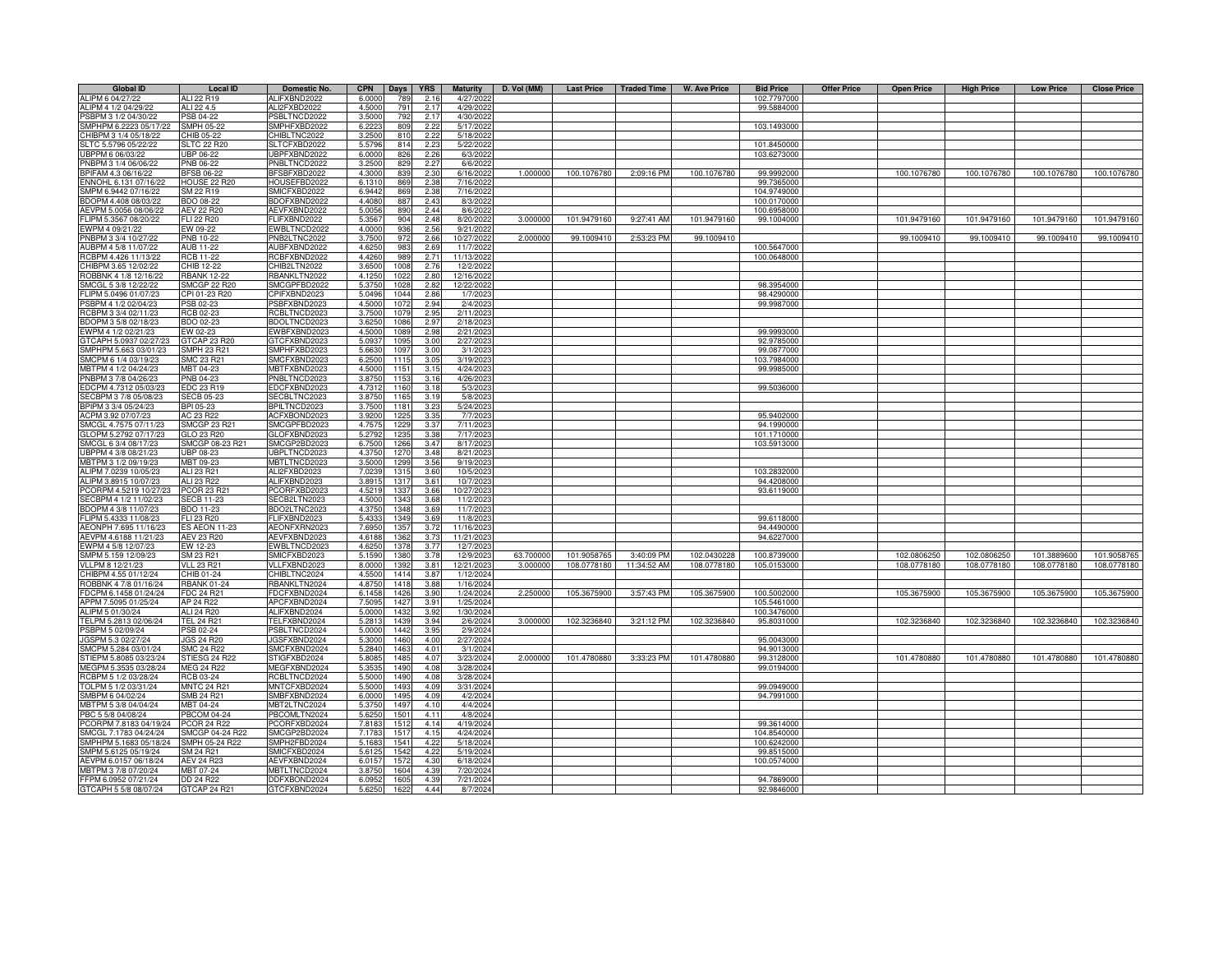| <b>Global ID</b>                              | <b>Local ID</b>                | Domestic No.                 | <b>CPN</b>      | Days         | <b>YRS</b>       | <b>Maturity</b>        | D. Vol (MM) | <b>Last Price</b> | <b>Traded Time</b> | <b>W. Ave Price</b> | <b>Bid Price</b>           | <b>Offer Price</b> | <b>Open Price</b> | <b>High Price</b> | <b>Low Price</b> | <b>Close Price</b> |
|-----------------------------------------------|--------------------------------|------------------------------|-----------------|--------------|------------------|------------------------|-------------|-------------------|--------------------|---------------------|----------------------------|--------------------|-------------------|-------------------|------------------|--------------------|
| ALIPM 6 04/27/22                              | ALI 22 R19                     | ALIFXBND2022                 | 6,0000          | 789          | 2.16             | 4/27/2022              |             |                   |                    |                     | 102.7797000                |                    |                   |                   |                  |                    |
| ALIPM 4 1/2 04/29/22                          | ALI 22 4.5                     | ALI2FXBD2022                 | 4.5000          | 791          | 2.17             | 4/29/2022              |             |                   |                    |                     | 99.5884000                 |                    |                   |                   |                  |                    |
| SBPM 3 1/2 04/30/22                           | PSB 04-22                      | PSBLTNCD2022                 | 3.500           | 792          | 2.17             | 4/30/2022              |             |                   |                    |                     |                            |                    |                   |                   |                  |                    |
| SMPHPM 6.2223 05/17/22                        | SMPH 05-22                     | SMPHFXBD2022                 | 6.222           | 809          | 2.22             | 5/17/2022              |             |                   |                    |                     | 103.1493000                |                    |                   |                   |                  |                    |
| CHIBPM 3 1/4 05/18/22                         | CHIB 05-22                     | CHIBLTNC2022                 | 3.2500          | 810          | 2.22             | 5/18/2022              |             |                   |                    |                     |                            |                    |                   |                   |                  |                    |
| SLTC 5.5796 05/22/22                          | <b>SLTC 22 R20</b>             | SLTCFXBD2022                 | 5.5796          | 814          | 2.23             | 5/22/2022              |             |                   |                    |                     | 101.8450000                |                    |                   |                   |                  |                    |
| UBPPM 6 06/03/22                              | <b>UBP 06-22</b>               | UBPFXBND2022                 | 6.0000          | 826          | 2.26             | 6/3/2022               |             |                   |                    |                     | 103.6273000                |                    |                   |                   |                  |                    |
| PNBPM 3 1/4 06/06/22                          | <b>PNB 06-22</b>               | PNBLTNCD2022                 | 3.2500          | 829          | 2.27             | 6/6/202                |             |                   |                    |                     |                            |                    |                   |                   |                  |                    |
| BPIFAM 4.3 06/16/22                           | <b>BFSB 06-22</b>              | BFSBFXBD2022                 | 4.3000          | 839          | 2.30             | 6/16/202               | 1.00000     | 100.1076780       | 2:09:16 PM         | 100.1076780         | 99.9992000                 |                    | 100.1076780       | 100.1076780       | 100.1076780      | 100.1076780        |
| NNOHL 6.131 07/16/22                          | <b>HOUSE 22 R20</b>            | HOUSEFBD2022                 | 6.131           | 869          | 2.38             | 7/16/202               |             |                   |                    |                     | 99.7365000                 |                    |                   |                   |                  |                    |
| SMPM 6.9442 07/16/22                          | SM 22 R19<br><b>BDO 08-22</b>  | SMICFXBD2022<br>BDOFXBND2022 | 6.9442<br>4.408 | 869<br>887   | 2.38<br>2.43     | 7/16/2022<br>8/3/2022  |             |                   |                    |                     | 104.9749000<br>100.0170000 |                    |                   |                   |                  |                    |
| BDOPM 4.408 08/03/22<br>AEVPM 5.0056 08/06/22 | AEV 22 R20                     | AEVFXBND2022                 | 5.0056          | 890          | 2.44             | 8/6/2022               |             |                   |                    |                     | 100.6958000                |                    |                   |                   |                  |                    |
| FLIPM 5.3567 08/20/22                         | <b>FLI 22 R20</b>              | FLIFXBND2022                 | 5.3567          | 904          | 2.48             | 8/20/2022              | 3.000000    | 101.9479160       | 9:27:41 AM         | 101.9479160         | 99.1004000                 |                    | 101.9479160       | 101.9479160       | 101.9479160      | 101.9479160        |
| EWPM 4 09/21/22                               | EW 09-22                       | EWBLTNCD2022                 | 4.0000          | 936          | 2.56             | 9/21/2022              |             |                   |                    |                     |                            |                    |                   |                   |                  |                    |
| PNBPM 3 3/4 10/27/22                          | <b>PNB 10-22</b>               | PNB2LTNC2022                 | 3.750           | 97           | 2.66             | 10/27/2022             | 2.00000     | 99.1009410        | 2:53:23 PM         | 99.1009410          |                            |                    | 99.1009410        | 99.1009410        | 99.1009410       | 99.1009410         |
| AUBPM 4 5/8 11/07/22                          | <b>AUB 11-22</b>               | AUBFXBND2022                 | 4.625           | 983          | 2.69             | 11/7/2022              |             |                   |                    |                     | 100.5647000                |                    |                   |                   |                  |                    |
| RCBPM 4.426 11/13/22                          | <b>RCB 11-22</b>               | RCBFXBND2022                 | 4.426           | 989          | 2.71             | 11/13/2022             |             |                   |                    |                     | 100.0648000                |                    |                   |                   |                  |                    |
| HIBPM 3.65 12/02/22                           | CHIB 12-22                     | CHIB2LTN2022                 | 3.650           | 100          | 2.76             | 12/2/2022              |             |                   |                    |                     |                            |                    |                   |                   |                  |                    |
| OBBNK 4 1/8 12/16/22                          | <b>RBANK 12-22</b>             | RBANKLTN2022                 | 4.125           | 102          | 2.8C             | 12/16/2022             |             |                   |                    |                     |                            |                    |                   |                   |                  |                    |
| SMCGL 5 3/8 12/22/22                          | <b>SMCGP 22 R20</b>            | SMCGPFBD2022                 | 5.375           | 102          | 2.82             | 12/22/202              |             |                   |                    |                     | 98.3954000                 |                    |                   |                   |                  |                    |
| LIPM 5.0496 01/07/23                          | CPI 01-23 R20                  | CPIFXBND2023                 | 5.049           | 1044         | 2.86             | 1/7/202                |             |                   |                    |                     | 98.4290000                 |                    |                   |                   |                  |                    |
| SBPM 4 1/2 02/04/23                           | PSB 02-23                      | PSBFXBND2023                 | 4.500           | 107          | 2.94             | 2/4/202                |             |                   |                    |                     | 99.9987000                 |                    |                   |                   |                  |                    |
| CBPM 3 3/4 02/11/23                           | RCB 02-23                      | RCBLTNCD2023                 | 3.7500          | 1079         | 2.95             | 2/11/2023              |             |                   |                    |                     |                            |                    |                   |                   |                  |                    |
| BDOPM 3 5/8 02/18/23                          | BDO 02-23                      | BDOLTNCD2023                 | 3.6250          | 108          | 2.97             | 2/18/2023              |             |                   |                    |                     |                            |                    |                   |                   |                  |                    |
| EWPM 4 1/2 02/21/23                           | EW 02-23                       | EWBFXBND2023                 | 4.5000          | 1089         | 2.98             | 2/21/2023              |             |                   |                    |                     | 99.9993000                 |                    |                   |                   |                  |                    |
| GTCAPH 5.0937 02/27/23                        | GTCAP 23 R20                   | GTCFXBND2023                 | 5.093           | 1095         | 3.00             | 2/27/2023              |             |                   |                    |                     | 92.9785000                 |                    |                   |                   |                  |                    |
| SMPHPM 5.663 03/01/23                         | SMPH 23 R21                    | SMPHFXBD2023                 | 5.663           | 1097         | 3.00             | 3/1/2023               |             |                   |                    |                     | 99.0877000                 |                    |                   |                   |                  |                    |
| SMCPM 6 1/4 03/19/23                          | SMC 23 R21                     | SMCFXBND2023                 | 6.250           | 111          | 3.05             | 3/19/202               |             |                   |                    |                     | 103.7984000                |                    |                   |                   |                  |                    |
| MBTPM 4 1/2 04/24/23                          | <b>MBT 04-23</b>               | MBTFXBND2023                 | 4.500           | 115          | 3.15             | 4/24/202               |             |                   |                    |                     | 99.9985000                 |                    |                   |                   |                  |                    |
| PNBPM 3 7/8 04/26/23                          | PNB 04-23                      | PNBLTNCD2023                 | 3.8750          | 1153         | 3.16             | 4/26/2023              |             |                   |                    |                     |                            |                    |                   |                   |                  |                    |
| EDCPM 4.7312 05/03/23                         | EDC 23 R19                     | EDCFXBND2023                 | 4.731           | 1160         | 3.18             | 5/3/202                |             |                   |                    |                     | 99.5036000                 |                    |                   |                   |                  |                    |
| ECBPM 3 7/8 05/08/23                          | SECB 05-23                     | SECBLTNC2023                 | 3.875           | 1165         | 3.19             | 5/8/202                |             |                   |                    |                     |                            |                    |                   |                   |                  |                    |
| BPIPM 3 3/4 05/24/23                          | BPI 05-23                      | BPILTNCD2023                 | 3.7500          | 118          | 3.23             | 5/24/202               |             |                   |                    |                     |                            |                    |                   |                   |                  |                    |
| ACPM 3.92 07/07/23                            | AC 23 R22                      | ACFXBOND2023                 | 3.920           | 122          | 3.35             | 7/7/202                |             |                   |                    |                     | 95.9402000                 |                    |                   |                   |                  |                    |
| MCGL 4.7575 07/11/23                          | SMCGP 23 R21                   | SMCGPFBD2023                 | 4.757           | 122          | 3.37             | 7/11/202               |             |                   |                    |                     | 94.1990000                 |                    |                   |                   |                  |                    |
| GLOPM 5.2792 07/17/23                         | GLO 23 R20                     | GLOFXBND2023                 | 5.279           | 123          | 3.38             | 7/17/2023              |             |                   |                    |                     | 101.1710000                |                    |                   |                   |                  |                    |
| SMCGL 6 3/4 08/17/23                          | SMCGP 08-23 R21                | SMCGP2BD2023                 | 6.7500          | 1266         | 3.47             | 8/17/2023              |             |                   |                    |                     | 103.5913000                |                    |                   |                   |                  |                    |
| UBPPM 4 3/8 08/21/23                          | <b>UBP 08-23</b>               | UBPLTNCD2023                 | 4.3750          | 1270         | 3.48             | 8/21/2023              |             |                   |                    |                     |                            |                    |                   |                   |                  |                    |
| MBTPM 3 1/2 09/19/23                          | MBT 09-23                      | MBTLTNCD2023                 | 3.5000          | 1299         | 3.56             | 9/19/2023              |             |                   |                    |                     |                            |                    |                   |                   |                  |                    |
| ALIPM 7.0239 10/05/23                         | ALI 23 R21                     | ALI2FXBD2023                 | 7.0239          | 1315         | 3.60             | 10/5/2023              |             |                   |                    |                     | 103.2832000                |                    |                   |                   |                  |                    |
| ALIPM 3.8915 10/07/23                         | ALL 23 B <sub>22</sub>         | ALIFXBND2023                 | 3.891           | 1317         | 3.61             | 10/7/2023              |             |                   |                    |                     | 94.4208000                 |                    |                   |                   |                  |                    |
| CORPM 4.5219 10/27/23                         | <b>PCOR 23 R21</b>             | PCORFXBD2023                 | 4.521           | 1337         | 3.66             | 10/27/202              |             |                   |                    |                     | 93.6119000                 |                    |                   |                   |                  |                    |
| SECBPM 4 1/2 11/02/23                         | <b>SECB 11-23</b>              | SECB2LTN2023                 | 4.500           | 1343         | 3.68             | 11/2/2023              |             |                   |                    |                     |                            |                    |                   |                   |                  |                    |
| DOPM 4 3/8 11/07/23<br>LIPM 5.4333 11/08/23   | <b>BDO 11-23</b><br>FLI 23 R20 | BDO2LTNC2023<br>FLIFXBND2023 | 4.375<br>5.433  | 1348<br>1349 | 3.69<br>3.69     | 11/7/2023              |             |                   |                    |                     |                            |                    |                   |                   |                  |                    |
| AEONPH 7.695 11/16/23                         | <b>ES AEON 11-23</b>           | AEONFXRN2023                 | 7.695           | 1357         | 3.72             | 11/8/202<br>11/16/2023 |             |                   |                    |                     | 99.6118000<br>94.4490000   |                    |                   |                   |                  |                    |
| AEVPM 4.6188 11/21/23                         | <b>AEV 23 R20</b>              | AEVFXBND2023                 | 4.618           | 1362         | 3.7 <sup>′</sup> | 11/21/202              |             |                   |                    |                     | 94.6227000                 |                    |                   |                   |                  |                    |
| WPM 4 5/8 12/07/23                            | EW 12-23                       | EWBLTNCD2023                 | 4.625           | 137          | 3.77             | 12/7/202               |             |                   |                    |                     |                            |                    |                   |                   |                  |                    |
| SMPM 5.159 12/09/23                           | SM 23 R21                      | SMICFXBD2023                 | 5.159           | 1380         | 3.78             | 12/9/2023              | 63.700000   | 101.9058765       | 3:40:09 PM         | 102.0430228         | 100.8739000                |                    | 102.0806250       | 102.0806250       | 101.3889600      | 101.9058765        |
| VLLPM 8 12/21/23                              | <b>VLL 23 R21</b>              | VLLFXBND2023                 | 8.0000          | 1392         | 3.81             | 12/21/2023             | 3.000000    | 108.0778180       | 11:34:52 AM        | 108.0778180         | 105.0153000                |                    | 108.0778180       | 108.0778180       | 108.0778180      | 108.0778180        |
| HIBPM 4.55 01/12/24                           | CHIB 01-24                     | CHIBLTNC2024                 | 4.5500          | 1414         | 3.87             | 1/12/2024              |             |                   |                    |                     |                            |                    |                   |                   |                  |                    |
| OBBNK 4 7/8 01/16/24                          | <b>RBANK 01-24</b>             | RBANKLTN2024                 | 4.875           | 1418         | 3.88             | 1/16/2024              |             |                   |                    |                     |                            |                    |                   |                   |                  |                    |
| FDCPM 6.1458 01/24/24                         | FDC 24 R21                     | FDCFXBND2024                 | 6.1458          | 1426         | 3.90             | 1/24/2024              | 2.250000    | 105.3675900       | 3:57:43 PM         | 105.3675900         | 100.5002000                |                    | 105.3675900       | 105.3675900       | 105.3675900      | 105.3675900        |
| APPM 7.5095 01/25/24                          | AP 24 R22                      | APCFXBND2024                 | 7.509           | 1427         | 3.91             | 1/25/2024              |             |                   |                    |                     | 105.5461000                |                    |                   |                   |                  |                    |
| ALIPM 5 01/30/24                              | ALI 24 R20                     | ALIFXBND2024                 | 5.000           | 1432         | 3.92             | 1/30/2024              |             |                   |                    |                     | 100.3476000                |                    |                   |                   |                  |                    |
| TELPM 5.2813 02/06/24                         | TEL 24 R21                     | TELFXBND2024                 | 5.281           | 1439         | 3.94             | 2/6/2024               | 3.000000    | 102.3236840       | 3:21:12 PM         | 102.3236840         | 95.8031000                 |                    | 102.3236840       | 102.3236840       | 102.3236840      | 102.3236840        |
| SBPM 5 02/09/24                               | PSB 02-24                      | PSBLTNCD2024                 | 5,0000          | 1442         | 3.95             | 2/9/2024               |             |                   |                    |                     |                            |                    |                   |                   |                  |                    |
| JGSPM 5.3 02/27/24                            | <b>JGS 24 R20</b>              | JGSFXBND2024                 | 5.300           | 1460         | 4.00             | 2/27/2024              |             |                   |                    |                     | 95.0043000                 |                    |                   |                   |                  |                    |
| SMCPM 5.284 03/01/24                          | <b>SMC 24 R22</b>              | SMCFXBND2024                 | 5.284           | 1463         | 4.01             | 3/1/2024               |             |                   |                    |                     | 94.9013000                 |                    |                   |                   |                  |                    |
| TIEPM 5.8085 03/23/24                         | STIESG 24 R22                  | STIGFXBD2024                 | 5.808           | 1485         | 4.07             | 3/23/2024              | 2.000000    | 101.4780880       | 3:33:23 PM         | 101.4780880         | 99.3128000                 |                    | 101.4780880       | 101.4780880       | 101.4780880      | 101.4780880        |
| MEGPM 5.3535 03/28/24                         | <b>MEG 24 R22</b>              | MEGFXBND2024                 | 5.353           | 1490         | 4.08             | 3/28/202               |             |                   |                    |                     | 99.0194000                 |                    |                   |                   |                  |                    |
| CBPM 5 1/2 03/28/24                           | RCB 03-24                      | RCBLTNCD2024                 | 5.500           | 1490         | 4.08             | 3/28/2024              |             |                   |                    |                     |                            |                    |                   |                   |                  |                    |
| TOLPM 5 1/2 03/31/24                          | <b>MNTC 24 R21</b>             | MNTCFXBD2024                 | 5.5000          | 1493         | 4.09             | 3/31/2024              |             |                   |                    |                     | 99.0949000                 |                    |                   |                   |                  |                    |
| SMBPM 6 04/02/24                              | SMB 24 R21                     | SMBFXBND2024                 | 6.0000          | 1495         | 4.09             | 4/2/2024               |             |                   |                    |                     | 94.7991000                 |                    |                   |                   |                  |                    |
| MBTPM 5 3/8 04/04/24                          | MBT 04-24                      | MBT2LTNC2024                 | 5.375           | 1497         | 4.10             | 4/4/2024               |             |                   |                    |                     |                            |                    |                   |                   |                  |                    |
| PBC 5 5/8 04/08/24                            | <b>PBCOM 04-24</b>             | PBCOMLTN2024                 | 5.6250          | 1501         | 4.11             | 4/8/2024               |             |                   |                    |                     |                            |                    |                   |                   |                  |                    |
| CORPM 7.8183 04/19/24                         | <b>PCOR 24 R22</b>             | PCORFXBD2024                 | 7.818           | 1512         | 4.14             | 4/19/2024              |             |                   |                    |                     | 99.3614000                 |                    |                   |                   |                  |                    |
| MCGL 7.1783 04/24/24                          | SMCGP 04-24 R22                | SMCGP2BD2024                 | 7.178           | 151          | 4.15             | 4/24/2024              |             |                   |                    |                     | 104.8540000                |                    |                   |                   |                  |                    |
| MPHPM 5.1683 05/18/24                         | SMPH 05-24 R22                 | SMPH2FBD2024                 | 5.168           | 1541         | 4.22             | 5/18/2024              |             |                   |                    |                     | 100.6242000                |                    |                   |                   |                  |                    |
| SMPM 5.6125 05/19/24<br>AEVPM 6.0157 06/18/24 | SM 24 R21<br><b>AEV 24 R23</b> | SMICFXBD2024<br>AEVFXBND2024 | 5.612           | 154          | 4.22<br>4.30     | 5/19/2024<br>6/18/2024 |             |                   |                    |                     | 99.8515000<br>100.0574000  |                    |                   |                   |                  |                    |
| MBTPM 3 7/8 07/20/24                          | MBT 07-24                      | MBTLTNCD2024                 | 6.015           | 157          | 4.3              |                        |             |                   |                    |                     |                            |                    |                   |                   |                  |                    |
| FFPM 6.0952 07/21/24                          | DD 24 R22                      | DDFXBOND2024                 | 3.875<br>6.095  | 160<br>160   | 4.39             | 7/20/2024<br>7/21/2024 |             |                   |                    |                     | 94.7869000                 |                    |                   |                   |                  |                    |
|                                               | GTCAP 24 R21                   | GTCFXBND2024                 | 5.625           | 162          | 4.44             | 8/7/2024               |             |                   |                    |                     | 92.9846000                 |                    |                   |                   |                  |                    |
| GTCAPH 5 5/8 08/07/24                         |                                |                              |                 |              |                  |                        |             |                   |                    |                     |                            |                    |                   |                   |                  |                    |